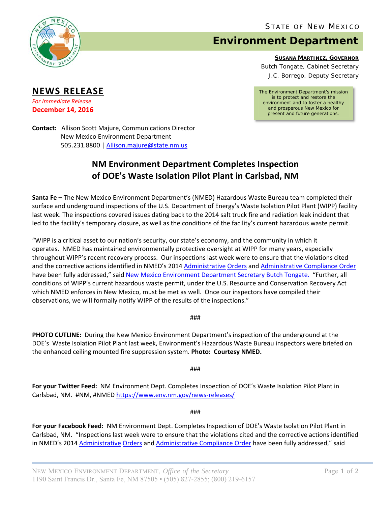

**NEWS RELEASE** *For Immediate Release* **December 14, 2016** 

## **Environment Department**

**SUSANA MARTINEZ, GOVERNOR**

Butch Tongate, Cabinet Secretary J.C. Borrego, Deputy Secretary

*The Environment Department's mission is to protect and restore the environment and to foster a healthy and prosperous New Mexico for present and future generations.* 

**Contact:** Allison Scott Majure, Communications Director New Mexico Environment Department 505.231.8800 | Allison.majure@state.nm.us

## **NM Environment Department Completes Inspection of DOE's Waste Isolation Pilot Plant in Carlsbad, NM**

**Santa Fe –** The New Mexico Environment Department's (NMED) Hazardous Waste Bureau team completed their surface and underground inspections of the U.S. Department of Energy's Waste Isolation Pilot Plant (WIPP) facility last week. The inspections covered issues dating back to the 2014 salt truck fire and radiation leak incident that led to the facility's temporary closure, as well as the conditions of the facility's current hazardous waste permit.

"WIPP is a critical asset to our nation's security, our state's economy, and the community in which it operates. NMED has maintained environmentally protective oversight at WIPP for many years, especially throughout WIPP's recent recovery process. Our inspections last week were to ensure that the violations cited and the corrective actions identified in NMED's 2014 Administrative Orders and Administrative Compliance Order have been fully addressed," said New Mexico Environment Department Secretary Butch Tongate. "Further, all conditions of WIPP's current hazardous waste permit, under the U.S. Resource and Conservation Recovery Act which NMED enforces in New Mexico, must be met as well. Once our inspectors have compiled their observations, we will formally notify WIPP of the results of the inspections."

###

**PHOTO CUTLINE:** During the New Mexico Environment Department's inspection of the underground at the DOE's Waste Isolation Pilot Plant last week, Environment's Hazardous Waste Bureau inspectors were briefed on the enhanced ceiling mounted fire suppression system. **Photo: Courtesy NMED.**

###

**For your Twitter Feed:** NM Environment Dept. Completes Inspection of DOE's Waste Isolation Pilot Plant in Carlsbad, NM. #NM, #NMED https://www.env.nm.gov/news-releases/

###

**For your Facebook Feed:** NM Environment Dept. Completes Inspection of DOE's Waste Isolation Pilot Plant in Carlsbad, NM. "Inspections last week were to ensure that the violations cited and the corrective actions identified in NMED's 2014 Administrative Orders and Administrative Compliance Order have been fully addressed," said